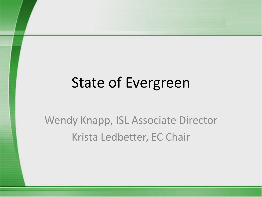# State of Evergreen

Wendy Knapp, ISL Associate Director Krista Ledbetter, EC Chair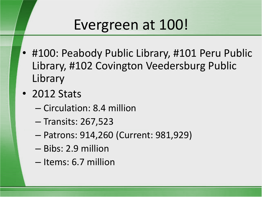## Evergreen at 100!

- #100: Peabody Public Library, #101 Peru Public Library, #102 Covington Veedersburg Public Library
- 2012 Stats
	- Circulation: 8.4 million
	- Transits: 267,523
	- Patrons: 914,260 (Current: 981,929)
	- Bibs: 2.9 million
	- Items: 6.7 million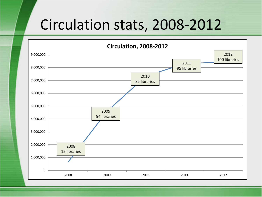## Circulation stats, 2008-2012

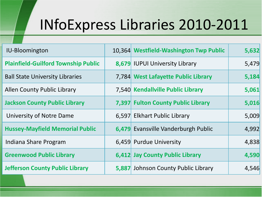# INfoExpress Libraries 2010-2011

| <b>IU-Bloomington</b>                      | 10,364 Westfield-Washington Twp Public | 5,632 |
|--------------------------------------------|----------------------------------------|-------|
| <b>Plainfield-Guilford Township Public</b> | 8,679 IUPUI University Library         | 5,479 |
| <b>Ball State University Libraries</b>     | 7,784 West Lafayette Public Library    | 5,184 |
| <b>Allen County Public Library</b>         | 7,540 Kendallville Public Library      | 5,061 |
| <b>Jackson County Public Library</b>       | 7,397 Fulton County Public Library     | 5,016 |
| University of Notre Dame                   | 6,597 Elkhart Public Library           | 5,009 |
| <b>Hussey-Mayfield Memorial Public</b>     | 6,479 Evansville Vanderburgh Public    | 4,992 |
| Indiana Share Program                      | 6,459 Purdue University                | 4,838 |
| <b>Greenwood Public Library</b>            | 6,412 Jay County Public Library        | 4,590 |
| <b>Jefferson County Public Library</b>     | 5,887 Johnson County Public Library    | 4,546 |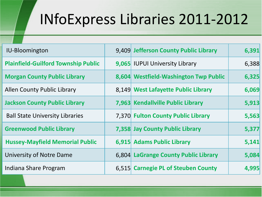# INfoExpress Libraries 2011-2012

| <b>IU-Bloomington</b>                      | 9,409 Jefferson County Public Library | 6,391 |
|--------------------------------------------|---------------------------------------|-------|
| <b>Plainfield-Guilford Township Public</b> | 9,065 IUPUI University Library        | 6,388 |
| <b>Morgan County Public Library</b>        | 8,604 Westfield-Washington Twp Public | 6,325 |
| <b>Allen County Public Library</b>         | 8,149 West Lafayette Public Library   | 6,069 |
| <b>Jackson County Public Library</b>       | 7,963 Kendallville Public Library     | 5,913 |
| <b>Ball State University Libraries</b>     | 7,370 Fulton County Public Library    | 5,563 |
| <b>Greenwood Public Library</b>            | 7,358 Jay County Public Library       | 5,377 |
| <b>Hussey-Mayfield Memorial Public</b>     | 6,915 Adams Public Library            | 5,141 |
| University of Notre Dame                   | 6,804 LaGrange County Public Library  | 5,084 |
| Indiana Share Program                      | 6,515 Carnegie PL of Steuben County   | 4,995 |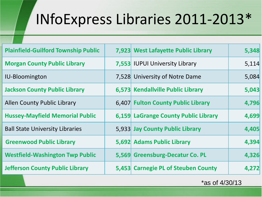# INfoExpress Libraries 2011-2013\*

| <b>Plainfield-Guilford Township Public</b> | 7,923 West Lafayette Public Library  | 5,348 |
|--------------------------------------------|--------------------------------------|-------|
| <b>Morgan County Public Library</b>        | 7,553 IUPUI University Library       | 5,114 |
| <b>IU-Bloomington</b>                      | 7,528 University of Notre Dame       | 5,084 |
| <b>Jackson County Public Library</b>       | 6,573 Kendallville Public Library    | 5,043 |
| <b>Allen County Public Library</b>         | 6,407 Fulton County Public Library   | 4,796 |
| <b>Hussey-Mayfield Memorial Public</b>     | 6,159 LaGrange County Public Library | 4,699 |
| <b>Ball State University Libraries</b>     | 5,933 Jay County Public Library      | 4,405 |
| <b>Greenwood Public Library</b>            | 5,692 Adams Public Library           | 4,394 |
| <b>Westfield-Washington Twp Public</b>     | 5,569 Greensburg-Decatur Co. PL      | 4,326 |
| <b>Jefferson County Public Library</b>     | 5,453 Carnegie PL of Steuben County  | 4,272 |

\*as of 4/30/13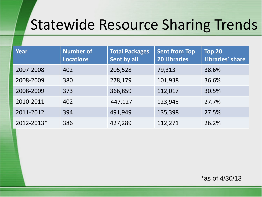## Statewide Resource Sharing Trends

| <b>Year</b> | <b>Number of</b><br><b>Locations</b> | <b>Total Packages</b><br>Sent by all | <b>Sent from Top</b><br><b>20 Libraries</b> | Top 20<br>Libraries' share |
|-------------|--------------------------------------|--------------------------------------|---------------------------------------------|----------------------------|
| 2007-2008   | 402                                  | 205,528                              | 79,313                                      | 38.6%                      |
| 2008-2009   | 380                                  | 278,179                              | 101,938                                     | 36.6%                      |
| 2008-2009   | 373                                  | 366,859                              | 112,017                                     | 30.5%                      |
| 2010-2011   | 402                                  | 447,127                              | 123,945                                     | 27.7%                      |
| 2011-2012   | 394                                  | 491,949                              | 135,398                                     | 27.5%                      |
| 2012-2013*  | 386                                  | 427,289                              | 112,271                                     | 26.2%                      |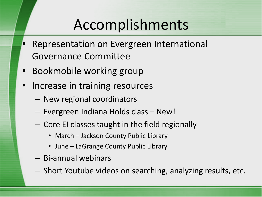# Accomplishments

- Representation on Evergreen International Governance Committee
- Bookmobile working group
- Increase in training resources
	- New regional coordinators
	- Evergreen Indiana Holds class New!
	- Core EI classes taught in the field regionally
		- March Jackson County Public Library
		- June LaGrange County Public Library
	- Bi-annual webinars
	- Short Youtube videos on searching, analyzing results, etc.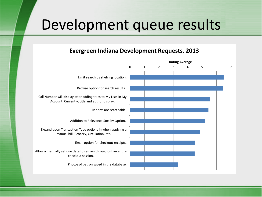### Development queue results

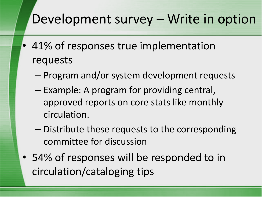### Development survey – Write in option

- 41% of responses true implementation requests
	- Program and/or system development requests
	- Example: A program for providing central, approved reports on core stats like monthly circulation.
	- Distribute these requests to the corresponding committee for discussion
- 54% of responses will be responded to in circulation/cataloging tips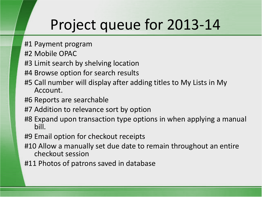## Project queue for 2013-14

- #1 Payment program
- #2 Mobile OPAC
- #3 Limit search by shelving location
- #4 Browse option for search results
- #5 Call number will display after adding titles to My Lists in My Account.
- #6 Reports are searchable
- #7 Addition to relevance sort by option
- #8 Expand upon transaction type options in when applying a manual bill.
- #9 Email option for checkout receipts
- #10 Allow a manually set due date to remain throughout an entire checkout session
- #11 Photos of patrons saved in database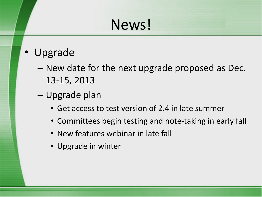## News!

- Upgrade
	- New date for the next upgrade proposed as Dec. 13-15, 2013
	- Upgrade plan
		- Get access to test version of 2.4 in late summer
		- Committees begin testing and note-taking in early fall
		- New features webinar in late fall
		- Upgrade in winter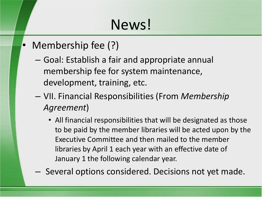## News!

- Membership fee (?)
	- Goal: Establish a fair and appropriate annual membership fee for system maintenance, development, training, etc.
	- VII. Financial Responsibilities (From *Membership Agreement*)
		- All financial responsibilities that will be designated as those to be paid by the member libraries will be acted upon by the Executive Committee and then mailed to the member libraries by April 1 each year with an effective date of January 1 the following calendar year.
	- Several options considered. Decisions not yet made.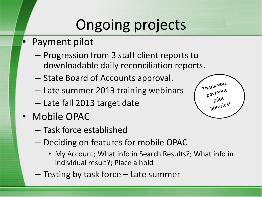# Ongoing projects

- Payment pilot
	- Progression from 3 staff client reports to downloadable daily reconciliation reports.
	- State Board of Accounts approval.
	- Late summer 2013 training webinars
	- Late fall 2013 target date
- Mobile OPAC
	- Task force established
	- Deciding on features for mobile OPAC
		- My Account; What info in Search Results?; What info in individual result?; Place a hold
	- Testing by task force Late summer